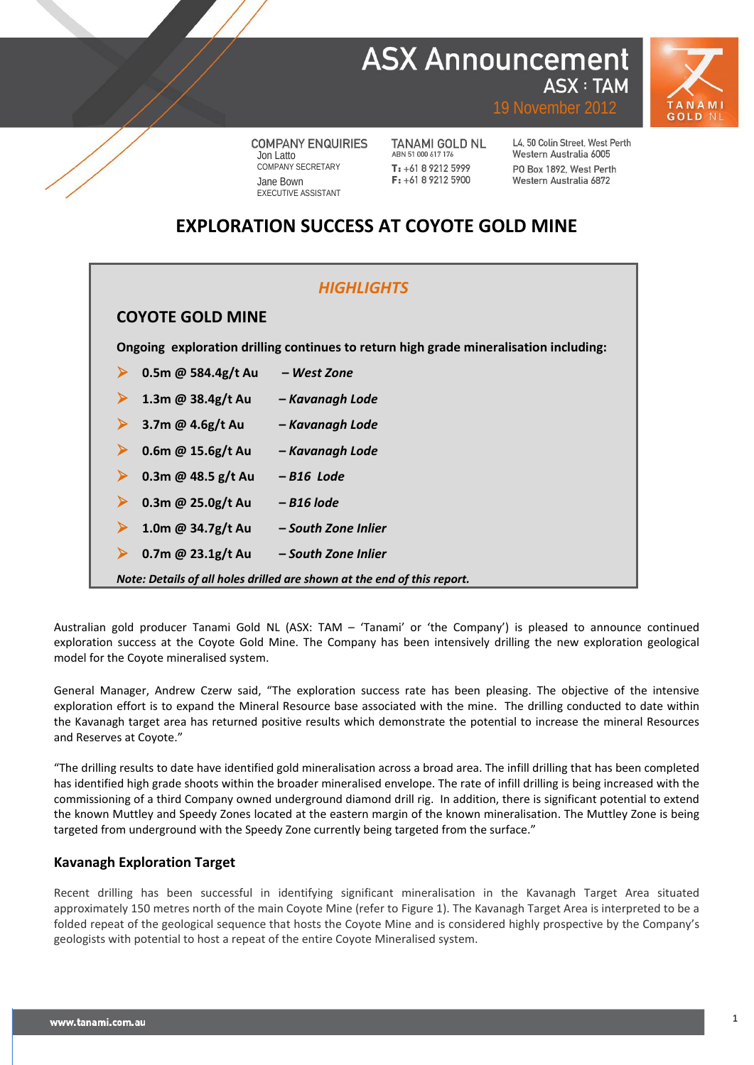## **ASX Announcement ASX: TAM**



19 November 2012

**COMPANY ENQUIRIES** Jon Latto COMPANY SECRETARY Jane Bown EXECUTIVE ASSISTANT

TANAMI GOLD NL ABN 51 000 617 176  $T: +61892125999$ F: +61 8 9212 5900

L4, 50 Colin Street, West Perth Western Australia 6005 PO Box 1892 West Perth Western Australia 6872

## **EXPLORATION SUCCESS AT COYOTE GOLD MINE**

| <b>HIGHLIGHTS</b>                                                                     |                     |  |  |  |  |  |  |  |  |
|---------------------------------------------------------------------------------------|---------------------|--|--|--|--|--|--|--|--|
| <b>COYOTE GOLD MINE</b>                                                               |                     |  |  |  |  |  |  |  |  |
| Ongoing exploration drilling continues to return high grade mineralisation including: |                     |  |  |  |  |  |  |  |  |
| 0.5m @ 584.4g/t Au                                                                    | – West Zone         |  |  |  |  |  |  |  |  |
| 1.3m @ $38.4g/t$ Au                                                                   | - Kavanagh Lode     |  |  |  |  |  |  |  |  |
| 3.7m @ $4.6g/t$ Au                                                                    | - Kavanagh Lode     |  |  |  |  |  |  |  |  |
| 0.6m @ $15.6g/t$ Au                                                                   | - Kavanagh Lode     |  |  |  |  |  |  |  |  |
| 0.3m @ 48.5 $g/t$ Au                                                                  | -B16 Lode           |  |  |  |  |  |  |  |  |
| 0.3m @ 25.0g/t Au                                                                     | – B16 lode          |  |  |  |  |  |  |  |  |
| 1.0m @ 34.7g/t Au                                                                     | - South Zone Inlier |  |  |  |  |  |  |  |  |
| 0.7m @ $23.1g/t$ Au                                                                   | – South Zone Inlier |  |  |  |  |  |  |  |  |
| Note: Details of all holes drilled are shown at the end of this report.               |                     |  |  |  |  |  |  |  |  |

Australian gold producer Tanami Gold NL (ASX: TAM – 'Tanami' or 'the Company') is pleased to announce continued exploration success at the Coyote Gold Mine. The Company has been intensively drilling the new exploration geological model for the Coyote mineralised system.

General Manager, Andrew Czerw said, "The exploration success rate has been pleasing. The objective of the intensive exploration effort is to expand the Mineral Resource base associated with the mine. The drilling conducted to date within the Kavanagh target area has returned positive results which demonstrate the potential to increase the mineral Resources and Reserves at Coyote."

"The drilling results to date have identified gold mineralisation across a broad area. The infill drilling that has been completed has identified high grade shoots within the broader mineralised envelope. The rate of infill drilling is being increased with the commissioning of a third Company owned underground diamond drill rig. In addition, there is significant potential to extend the known Muttley and Speedy Zones located at the eastern margin of the known mineralisation. The Muttley Zone is being targeted from underground with the Speedy Zone currently being targeted from the surface."

### **Kavanagh Exploration Target**

Recent drilling has been successful in identifying significant mineralisation in the Kavanagh Target Area situated approximately 150 metres north of the main Coyote Mine (refer to Figure 1). The Kavanagh Target Area is interpreted to be a folded repeat of the geological sequence that hosts the Coyote Mine and is considered highly prospective by the Company's geologists with potential to host a repeat of the entire Coyote Mineralised system.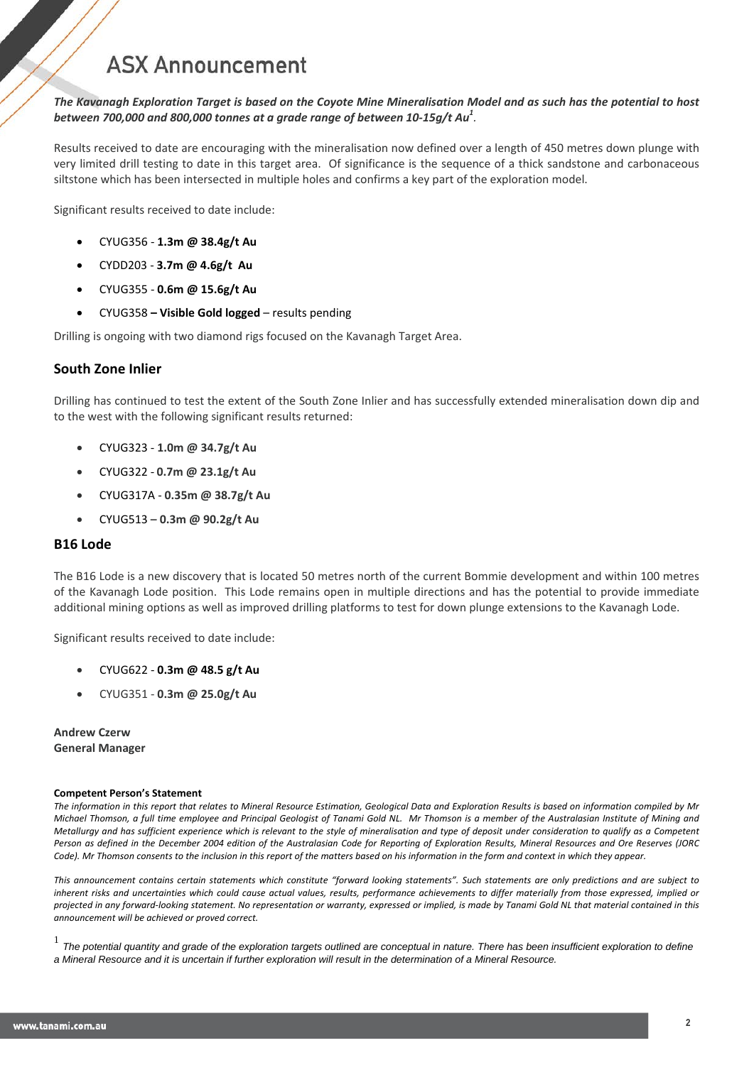*The Kavanagh Exploration Target is based on the Coyote Mine Mineralisation Model and as such has the potential to host between 700,000 and 800,000 tonnes at a grade range of between 10-15g/t Au1 .*

Results received to date are encouraging with the mineralisation now defined over a length of 450 metres down plunge with very limited drill testing to date in this target area. Of significance is the sequence of a thick sandstone and carbonaceous siltstone which has been intersected in multiple holes and confirms a key part of the exploration model.

Significant results received to date include:

- CYUG356 **1.3m @ 38.4g/t Au**
- CYDD203 **3.7m @ 4.6g/t Au**
- CYUG355 **0.6m @ 15.6g/t Au**
- CYUG358 **– Visible Gold logged**  results pending

Drilling is ongoing with two diamond rigs focused on the Kavanagh Target Area.

### **South Zone Inlier**

Drilling has continued to test the extent of the South Zone Inlier and has successfully extended mineralisation down dip and to the west with the following significant results returned:

- CYUG323 **1.0m @ 34.7g/t Au**
- CYUG322 **0.7m @ 23.1g/t Au**
- CYUG317A **0.35m @ 38.7g/t Au**
- CYUG513 **0.3m @ 90.2g/t Au**

### **B16 Lode**

The B16 Lode is a new discovery that is located 50 metres north of the current Bommie development and within 100 metres of the Kavanagh Lode position. This Lode remains open in multiple directions and has the potential to provide immediate additional mining options as well as improved drilling platforms to test for down plunge extensions to the Kavanagh Lode.

Significant results received to date include:

- CYUG622 **0.3m @ 48.5 g/t Au**
- CYUG351 **0.3m @ 25.0g/t Au**

**Andrew Czerw General Manager**

### **Competent Person's Statement**

*The information in this report that relates to Mineral Resource Estimation, Geological Data and Exploration Results is based on information compiled by Mr Michael Thomson, a full time employee and Principal Geologist of Tanami Gold NL. Mr Thomson is a member of the Australasian Institute of Mining and Metallurgy and has sufficient experience which is relevant to the style of mineralisation and type of deposit under consideration to qualify as a Competent Person as defined in the December 2004 edition of the Australasian Code for Reporting of Exploration Results, Mineral Resources and Ore Reserves (JORC Code). Mr Thomson consents to the inclusion in this report of the matters based on his information in the form and context in which they appear.*

*This announcement contains certain statements which constitute "forward looking statements". Such statements are only predictions and are subject to inherent risks and uncertainties which could cause actual values, results, performance achievements to differ materially from those expressed, implied or projected in any forward-looking statement. No representation or warranty, expressed or implied, is made by Tanami Gold NL that material contained in this announcement will be achieved or proved correct.*

<sup>1</sup> *The potential quantity and grade of the exploration targets outlined are conceptual in nature. There has been insufficient exploration to define a Mineral Resource and it is uncertain if further exploration will result in the determination of a Mineral Resource.*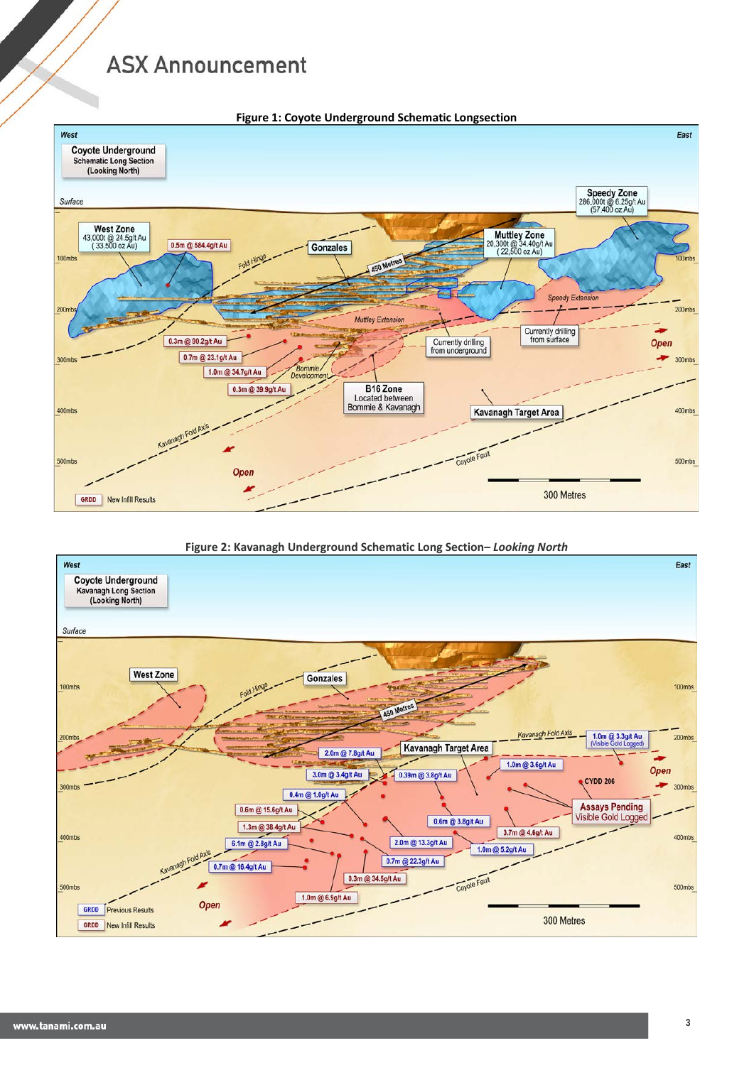

**Figure 2: Kavanagh Underground Schematic Long Section–** *Looking North*

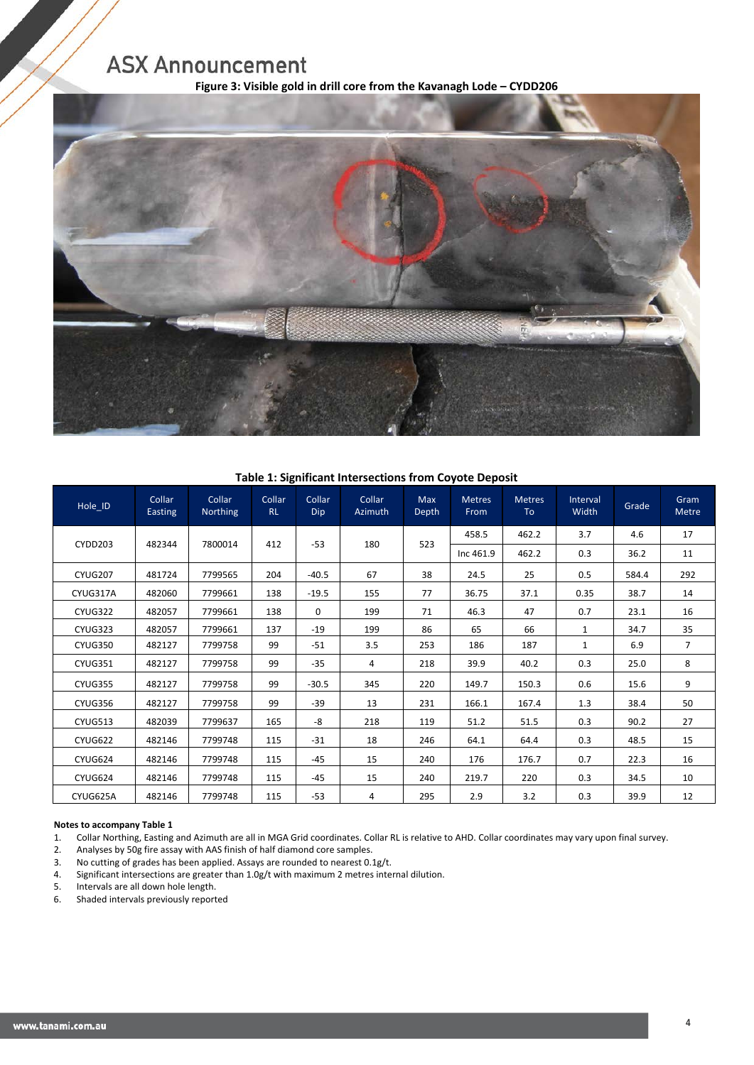**Figure 3: Visible gold in drill core from the Kavanagh Lode – CYDD206**



### **Table 1: Significant Intersections from Coyote Deposit**

| Hole ID        | Collar<br>Easting | Collar<br>Northing | Collar<br><b>RL</b> | Collar<br>Dip | Collar<br>Azimuth | <b>Max</b><br>Depth | <b>Metres</b><br>From | <b>Metres</b><br>To | Interval<br>Width | Grade | Gram<br>Metre  |
|----------------|-------------------|--------------------|---------------------|---------------|-------------------|---------------------|-----------------------|---------------------|-------------------|-------|----------------|
| CYDD203        | 482344            | 7800014            | 412                 | $-53$         | 180               | 523                 | 458.5                 | 462.2               | 3.7               | 4.6   | 17             |
|                |                   |                    |                     |               |                   |                     | Inc 461.9             | 462.2               | 0.3               | 36.2  | 11             |
| <b>CYUG207</b> | 481724            | 7799565            | 204                 | $-40.5$       | 67                | 38                  | 24.5                  | 25                  | 0.5               | 584.4 | 292            |
| CYUG317A       | 482060            | 7799661            | 138                 | $-19.5$       | 155               | 77                  | 36.75                 | 37.1                | 0.35              | 38.7  | 14             |
| CYUG322        | 482057            | 7799661            | 138                 | $\Omega$      | 199               | 71                  | 46.3                  | 47                  | 0.7               | 23.1  | 16             |
| CYUG323        | 482057            | 7799661            | 137                 | $-19$         | 199               | 86                  | 65                    | 66                  | $\mathbf{1}$      | 34.7  | 35             |
| <b>CYUG350</b> | 482127            | 7799758            | 99                  | $-51$         | 3.5               | 253                 | 186                   | 187                 | 1                 | 6.9   | $\overline{7}$ |
| <b>CYUG351</b> | 482127            | 7799758            | 99                  | $-35$         | 4                 | 218                 | 39.9                  | 40.2                | 0.3               | 25.0  | 8              |
| <b>CYUG355</b> | 482127            | 7799758            | 99                  | $-30.5$       | 345               | 220                 | 149.7                 | 150.3               | 0.6               | 15.6  | 9              |
| <b>CYUG356</b> | 482127            | 7799758            | 99                  | $-39$         | 13                | 231                 | 166.1                 | 167.4               | 1.3               | 38.4  | 50             |
| CYUG513        | 482039            | 7799637            | 165                 | -8            | 218               | 119                 | 51.2                  | 51.5                | 0.3               | 90.2  | 27             |
| CYUG622        | 482146            | 7799748            | 115                 | $-31$         | 18                | 246                 | 64.1                  | 64.4                | 0.3               | 48.5  | 15             |
| CYUG624        | 482146            | 7799748            | 115                 | $-45$         | 15                | 240                 | 176                   | 176.7               | 0.7               | 22.3  | 16             |
| CYUG624        | 482146            | 7799748            | 115                 | $-45$         | 15                | 240                 | 219.7                 | 220                 | 0.3               | 34.5  | 10             |
| CYUG625A       | 482146            | 7799748            | 115                 | $-53$         | 4                 | 295                 | 2.9                   | 3.2                 | 0.3               | 39.9  | 12             |

## **Notes to accompany Table 1**<br>1. Collar Northing, Easting

1. Collar Northing, Easting and Azimuth are all in MGA Grid coordinates. Collar RL is relative to AHD. Collar coordinates may vary upon final survey.

2. Analyses by 50g fire assay with AAS finish of half diamond core samples.

3. No cutting of grades has been applied. Assays are rounded to nearest 0.1g/t.

4. Significant intersections are greater than 1.0g/t with maximum 2 metres internal dilution.

5. Intervals are all down hole length.<br>6. Shaded intervals previously report

6. Shaded intervals previously reported